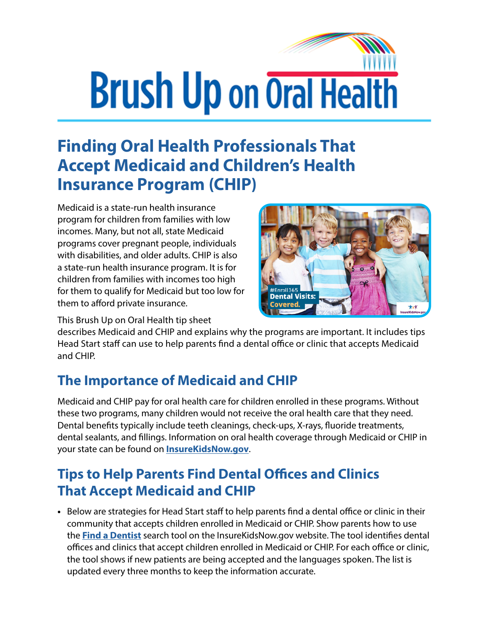# **Brush Up on Oral Health**

## **Finding Oral Health Professionals That Accept Medicaid and Children's Health Insurance Program (CHIP)**

Medicaid is a state-run health insurance program for children from families with low incomes. Many, but not all, state Medicaid programs cover pregnant people, individuals with disabilities, and older adults. CHIP is also a state-run health insurance program. It is for children from families with incomes too high for them to qualify for Medicaid but too low for them to afford private insurance.



This Brush Up on Oral Health tip sheet

describes Medicaid and CHIP and explains why the programs are important. It includes tips Head Start staff can use to help parents find a dental office or clinic that accepts Medicaid and CHIP.

#### **The Importance of Medicaid and CHIP**

Medicaid and CHIP pay for oral health care for children enrolled in these programs. Without these two programs, many children would not receive the oral health care that they need. Dental benefits typically include teeth cleanings, check-ups, X-rays, fluoride treatments, dental sealants, and fillings. Information on oral health coverage through Medicaid or CHIP in your state can be found on **[InsureKidsNow.gov](https://www.insurekidsnow.gov/)**.

### **Tips to Help Parents Find Dental Offices and Clinics That Accept Medicaid and CHIP**

**•** Below are strategies for Head Start staff to help parents find a dental office or clinic in their community that accepts children enrolled in Medicaid or CHIP. Show parents how to use the **[Find a Dentist](https://www.insurekidsnow.gov/coverage/find-a-dentist/index.html)** search tool on the InsureKidsNow.gov website. The tool identifies dental offices and clinics that accept children enrolled in Medicaid or CHIP. For each office or clinic, the tool shows if new patients are being accepted and the languages spoken. The list is updated every three months to keep the information accurate.